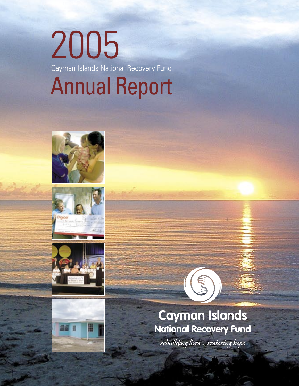# 2005 Cayman Islands National Recovery Fund **Annual Report**









Cayman Islands National Recovery Fund 1

## **Cayman Islands National Recovery Fund**

É.

rebuilding lives ... restoring hope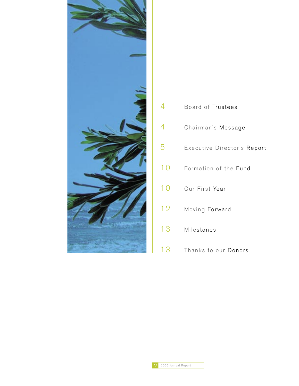

| 4  | Board of Trustees           |
|----|-----------------------------|
| 4  | Chairman's Message          |
| 5  | Executive Director's Report |
| 10 | Formation of the Fund       |
| 10 | Our First Year              |
| 12 | Moving Forward              |
| 13 | Milestones                  |
| 13 | Thanks to our Donors        |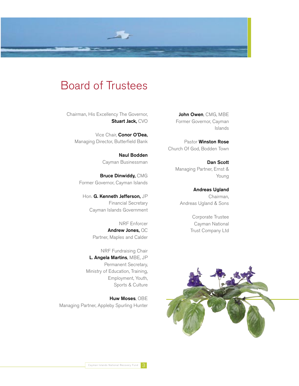

### Board of Trustees

Chairman, His Excellency The Governor, Stuart Jack, CVO

Vice Chair, Conor O'Dea, Managing Director, Butterfield Bank

> Naul Bodden Cayman Businessman

Bruce Dinwiddy, CMG Former Governor, Cayman Islands

Hon. G. Kenneth Jefferson, JP Financial Secretary Cayman Islands Government

> NRF Enforcer Andrew Jones, QC Partner, Maples and Calder

NRF Fundraising Chair L. Angela Martins, MBE, JP Permanent Secretary, Ministry of Education, Training, Employment, Youth, Sports & Culture

Huw Moses, OBE Managing Partner, Appleby Spurling Hunter

John Owen, CMG, MBE Former Governor, Cayman Islands

Pastor Winston Rose Church Of God, Bodden Town

> Dan Scott Managing Partner, Ernst & Young

Andreas Ugland Chairman, Andreas Ugland & Sons

> Corporate Trustee Cayman National Trust Company Ltd

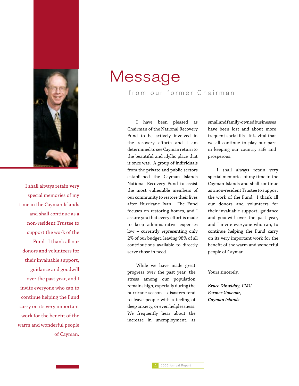

I shall always retain very special memories of my time in the Cayman Islands and shall continue as a non-resident Trustee to support the work of the Fund. I thank all our donors and volunteers for their invaluable support, guidance and goodwill over the past year, and I invite everyone who can to continue helping the Fund carry on its very important work for the benefit of the warm and wonderful people of Cayman.

# Message

from our former Chairman

 I have been pleased as Chairman of the National Recovery Fund to be actively involved in the recovery efforts and I am determined to see Cayman return to the beautiful and idyllic place that it once was. A group of individuals from the private and public sectors established the Cayman Islands National Recovery Fund to assist the most vulnerable members of our community to restore their lives after Hurricane Ivan. The Fund focuses on restoring homes, and I assure you that every effort is made to keep administrative expenses low – currently representing only 2% of our budget, leaving 98% of all contributions available to directly serve those in need.

 While we have made great progress over the past year, the stress among our population remains high, especially during the hurricane season – disasters tend to leave people with a feeling of deep anxiety, or even helplessness. We frequently hear about the increase in unemployment, as

small and family-owned businesses have been lost and about more frequent social ills. It is vital that we all continue to play our part in keeping our country safe and prosperous.

 I shall always retain very special memories of my time in the Cayman Islands and shall continue as a non-resident Trustee to support the work of the Fund. I thank all our donors and volunteers for their invaluable support, guidance and goodwill over the past year, and I invite everyone who can, to continue helping the Fund carry on its very important work for the benefit of the warm and wonderful people of Cayman

#### Yours sincerely,

*Bruce Dinwiddy, CMG Former Govenor, Cayman Islands*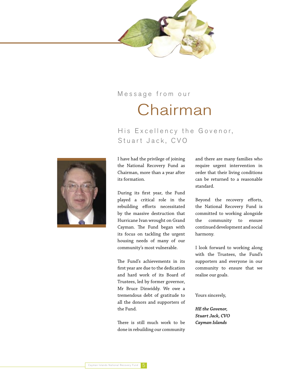

### Message from our

# Chairman

### His Excellency the Govenor, Stuart Jack, CVO



I have had the privilege of joining the National Recovery Fund as Chairman, more than a year after its formation.

During its first year, the Fund played a critical role in the rebuilding efforts necessitated by the massive destruction that Hurricane Ivan wrought on Grand Cayman. The Fund began with its focus on tackling the urgent housing needs of many of our community's most vulnerable.

The Fund's achievements in its first year are due to the dedication and hard work of its Board of Trustees, led by former governor, Mr Bruce Dinwiddy. We owe a tremendous debt of gratitude to all the donors and supporters of the Fund.

There is still much work to be done in rebuilding our community and there are many families who require urgent intervention in order that their living conditions can be returned to a reasonable standard.

Beyond the recovery efforts, the National Recovery Fund is committed to working alongside the community to ensure continued development and social harmony.

I look forward to working along with the Trustees, the Fund's supporters and everyone in our community to ensure that we realise our goals.

Yours sincerely,

*HE the Govenor, Stuart Jack, CVO Cayman Islands*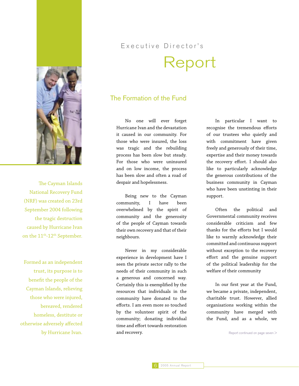

The Cayman Islands National Recovery Fund (NRF) was created on 23rd September 2004 following the tragic destruction caused by Hurricane Ivan on the 11<sup>th</sup>-12<sup>th</sup> September.

Formed as an independent trust, its purpose is to benefit the people of the Cayman Islands, relieving those who were injured, bereaved, rendered homeless, destitute or otherwise adversely affected by Hurricane Ivan.

# Executive Director's Report

### The Formation of the Fund

 No one will ever forget Hurricane Ivan and the devastation it caused in our community. For those who were insured, the loss was tragic and the rebuilding process has been slow but steady. For those who were uninsured and on low income, the process has been slow and often a road of despair and hopelessness.

 Being new to the Cayman community, I have been overwhelmed by the spirit of community and the generosity of the people of Cayman towards their own recovery and that of their neighbours.

 Never in my considerable experience in development have I seen the private sector rally to the needs of their community in such a generous and concerned way. Certainly this is exemplified by the resources that individuals in the community have donated to the efforts. I am even more so touched by the volunteer spirit of the community; donating individual time and effort towards restoration and recovery.

 In particular I want to recognise the tremendous efforts of our trustees who quietly and with commitment have given freely and generously of their time, expertise and their money towards the recovery effort. I should also like to particularly acknowledge the generous contributions of the business community in Cayman who have been unstinting in their support.

 Often the political and Governmental community receives considerable criticism and few thanks for the efforts but I would like to warmly acknowledge their committed and continuous support without exception to the recovery effort and the genuine support of the political leadership for the welfare of their community

 In our first year at the Fund, we became a private, independent, charitable trust. However, allied organisations working within the community have merged with the Fund, and as a whole, we

Report continued on page seven >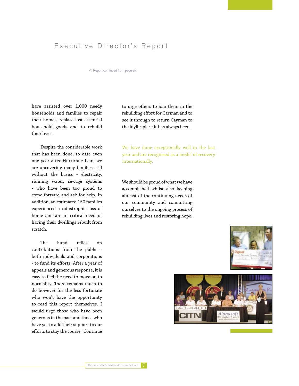### Executive Director's Report

< Report continued from page six

have assisted over 1,000 needy households and families to repair their homes, replace lost essential household goods and to rebuild their lives.

 Despite the considerable work that has been done, to date even one year after Hurricane Ivan, we are uncovering many families still without the basics - electricity, running water, sewage systems - who have been too proud to come forward and ask for help. In addition, an estimated 150 families experienced a catastrophic loss of home and are in critical need of having their dwellings rebuilt from scratch.

 The Fund relies on contributions from the public both individuals and corporations - to fund its efforts. After a year of appeals and generous response, it is easy to feel the need to move on to normality. There remains much to do however for the less fortunate who won't have the opportunity to read this report themselves. I would urge those who have been generous in the past and those who have yet to add their support to our efforts to stay the course . Continue to urge others to join them in the rebuilding effort for Cayman and to see it through to return Cayman to the idyllic place it has always been.

We have done exceptionally well in the last year and are recognised as a model of recovery internationally.

We should be proud of what we have accomplished whilst also keeping abreast of the continuing needs of our community and committing ourselves to the ongoing process of rebuilding lives and restoring hope.



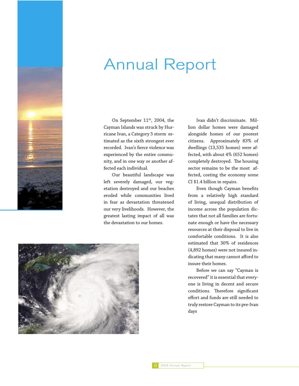

# Annual Report

On September 11<sup>th</sup>, 2004, the Cayman Islands was struck by Hurricane Ivan, a Category 5 storm estimated as the sixth strongest ever recorded. Ivan's fierce violence was experienced by the entire community, and in one way or another affected each individual.

 Our beautiful landscape was left severely damaged, our vegetation destroyed and our beaches eroded while communities lived in fear as devastation threatened our very livelihoods. However, the greatest lasting impact of all was the devastation to our homes.



 Even though Cayman benefits from a relatively high standard of living, unequal distribution of income across the population dictates that not all families are fortunate enough or have the necessary resources at their disposal to live in comfortable conditions. It is also estimated that 30% of residences (4,892 homes) were not insured indicating that many cannot afford to insure their homes.

 Before we can say "Cayman is recovered" it is essential that everyone is living in decent and secure conditions. Therefore significant effort and funds are still needed to truly restore Cayman to its pre-Ivan days

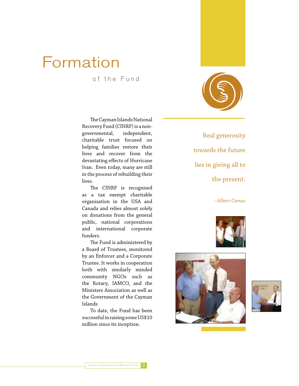# Formation

of the Fund

 The Cayman Islands National Recovery Fund (CINRF) is a nongovernmental, independent, charitable trust focused on helping families restore their lives and recover from the devastating effects of Hurricane Ivan. Even today, many are still in the process of rebuilding their lives.

 The CINRF is recognised as a tax exempt charitable organisation in the USA and Canada and relies almost solely on donations from the general public, national corporations and international corporate funders.

 The Fund is administered by a Board of Trustees, monitored by an Enforcer and a Corporate Trustee. It works in cooperation both with similarly minded community NGOs such as the Rotary, IAMCO, and the Ministers Association as well as the Government of the Cayman Islands

 To date, the Fund has been successful in raising some US\$10 million since its inception.

Real generosity towards the future lies in giving all to the present.

*--Albert Camus*





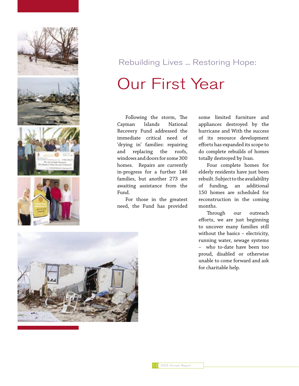

# Rebuilding Lives ... Restoring Hope: Our First Year

 Following the storm, The Cayman Islands National Recovery Fund addressed the immediate critical need of 'drying in' families: repairing and replacing the roofs, windows and doors for some 300 homes. Repairs are currently in-progress for a further 146 families, but another 273 are awaiting assistance from the Fund.

 For those in the greatest need, the Fund has provided

some limited furniture and appliances destroyed by the hurricane and With the success of its resource development efforts has expanded its scope to do complete rebuilds of homes totally destroyed by Ivan.

 Four complete homes for elderly residents have just been rebuilt. Subject to the availability of funding, an additional 150 homes are scheduled for reconstruction in the coming months.

 Through our outreach efforts, we are just beginning to uncover many families still without the basics – electricity, running water, sewage systems – who to-date have been too proud, disabled or otherwise unable to come forward and ask for charitable help.

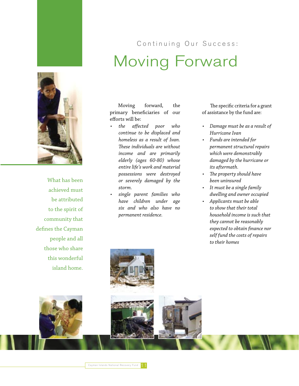



What has been achieved must be attributed to the spirit of community that defines the Cayman people and all those who share this wonderful island home.

# Continuing Our Success: Moving Forward

 Moving forward, the primary beneficiaries of our efforts will be:

- *the affected poor who continue to be displaced and homeless as a result of Ivan. These individuals are without income and are primarily elderly (ages 60-80) whose entire life's work and material possessions were destroyed or severely damaged by the storm.*
- *single parent families who have children under age six and who also have no permanent residence.*

The specific criteria for a grant of assistance by the fund are:

- *Damage must be as a result of Hurricane Ivan*
- *Funds are intended for permanent structural repairs which were demonstrably damaged by the hurricane or its aftermath.*
- *The property should have been uninsured*
- *It must be a single family dwelling and owner occupied*
- *Applicants must be able to show that their total household income is such that they cannot be reasonably expected to obtain finance nor self fund the costs of repairs to their homes*

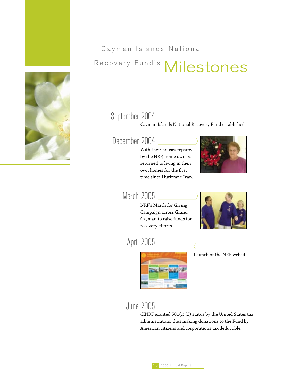Cayman Islands National

# Recovery Fund's Milestones

### September 2004

Cayman Islands National Recovery Fund established

### December 2004

With their houses repaired by the NRF, home owners returned to living in their own homes for the first time since Hurircane Ivan.



### March 2005

NRF's March for Giving Campaign across Grand Cayman to raise funds for recovery efforts



April 2005



Launch of the NRF website

June 2005

CINRF granted 501(c) (3) status by the United States tax administrators, thus making donations to the Fund by American citizens and corporations tax deductible.

 $\langle$ 

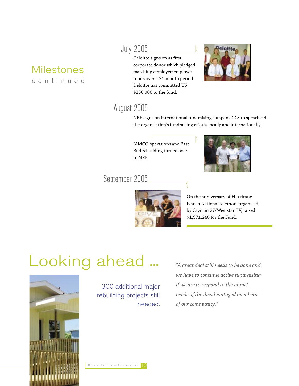## Milestones

c o n t i n u e d

### July 2005

Deloitte signs on as first corporate donor which pledged matching employer/employer funds over a 24-month period. Deloitte has committed US \$250,000 to the fund.



### August 2005

NRF signs on international fundraising company CCS to spearhead the organisation's fundraising efforts locally and internationally.

IAMCO operations and East End rebuilding turned over to NRF



### September 2005



On the anniversary of Hurricane Ivan, a National telethon, organised by Cayman 27/Weststar TV, raised \$1,971,246 for the Fund.

# Looking ahead ...



300 additional major rebuilding projects still needed.

*"A great deal still needs to be done and we have to continue active fundraising if we are to respond to the unmet needs of the disadvantaged members of our community."*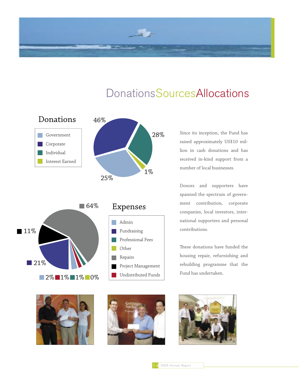







Admin

**College** 

64%

Expenses

Other Repairs

Fundraising

Professional Fees

Project Management Undistributed Funds Since its inception, the Fund has raised approximately US\$10 million in cash donations and has received in-kind support from a number of local businesses.

Donors and supporters have spanned the spectrum of government contribution, corporate companies, local investors, international supporters and personal contributions.

These donations have funded the housing repair, refurnishing and rebuilding programme that the Fund has undertaken.



2% 1% 1% 0%

■21%

■11%



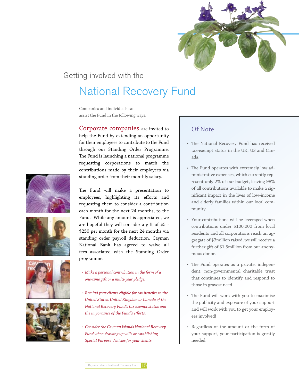

### Getting involved with the

### National Recovery Fund

Companies and individuals can assist the Fund in the following ways:

Corporate companies are invited to help the Fund by extending an opportunity for their employees to contribute to the Fund through our Standing Order Programme. The Fund is launching a national programme requesting corporations to match the contributions made by their employees via standing order from their monthly salary.









The Fund will make a presentation to employees, highlighting its efforts and requesting them to consider a contribution each month for the next 24 months, to the Fund. While any amount is appreciated, we are hopeful they will consider a gift of \$5 - \$250 per month for the next 24 months via standing order payroll deduction. Cayman National Bank has agreed to waive all fees associated with the Standing Order programme.

- *Make a personal contribution in the form of a one-time gift or a multi-year pledge.*
- *Remind your clients eligible for tax benefits in the United States, United Kingdom or Canada of the National Recovery Fund's tax exempt status and the importance of the Fund's efforts.*
- *Consider the Cayman Islands National Recovery Fund when drawing up wills or establishing Special Purpose Vehicles for your clients.*

### Of Note

- The National Recovery Fund has received tax-exempt status in the UK, US and Canada.
- The Fund operates with extremely low administrative expenses, which currently represent only 2% of our budget, leaving 98% of all contributions available to make a significant impact in the lives of low-income and elderly families within our local community.
- Your contributions will be leveraged when contributions under \$100,000 from local residents and all corporations reach an aggregate of \$3million raised, we will receive a further gift of \$1.5million from our anonymous donor.
- The Fund operates as a private, independent, non-governmental charitable trust that continues to identify and respond to those in gravest need.
- The Fund will work with you to maximise the publicity and exposure of your support and will work with you to get your employees involved!
- Regardless of the amount or the form of your support, your participation is greatly needed.

Cayman Islands National Recovery Fund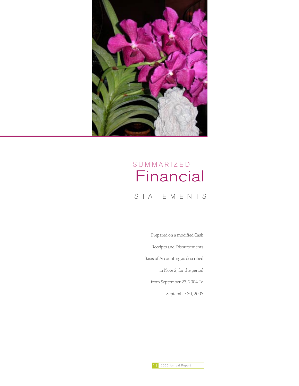

## Financial S U M M A R I Z E D

### S T A T E M E N T S

Prepared on a modified Cash Receipts and Disbursements Basis of Accounting as described in Note 2, for the period from September 23, 2004 To September 30, 2005

16 2005 Annual Report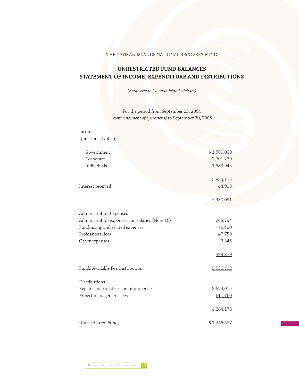THE CAYMAN ISLANDS NATIONAL RECOVERY FUND

### **UNRESTRICTED FUND BALANCES STATEMENT OF INCOME, EXPENDITURE AND DISTRIBUTIONS**

*(Expressed in Cayman Islands dollars)*

For the period from September 23, 2004 *(commencement of operations)* to September 30, 2005

| Income                                         |             |
|------------------------------------------------|-------------|
| Donations (Note 5)                             |             |
|                                                |             |
| Government                                     | \$1,500,000 |
| Corporate                                      | 2,701,230   |
| Individuals                                    | 1,683,945   |
|                                                | 5,885,175   |
| Interest received                              | 44,916      |
|                                                | 5,930,091   |
| Administration Expenses                        |             |
| Administration expenses and salaries (Note 10) | 268,794     |
| Fundraising and related expenses               | 79,490      |
| Professional fees                              | 47,750      |
| Other expenses                                 | 3,345       |
|                                                | 399,379     |
| Funds Available For Distribution               | 5,530,712   |
| Distributions                                  |             |
| Repairs and construction of properties         | 3,673,015   |
| Project management fees                        | 611,160     |
|                                                | 4,284,175   |
| Undistributed Funds                            | \$1,246,537 |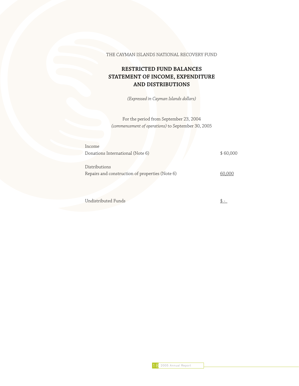THE CAYMAN ISLANDS NATIONAL RECOVERY FUND

### **RESTRICTED FUND BALANCES STATEMENT OF INCOME, EXPENDITURE AND DISTRIBUTIONS**

*(Expressed in Cayman Islands dollars)*

For the period from September 23, 2004 *(commencement of operations)* to September 30, 2005

| Income                                          |          |
|-------------------------------------------------|----------|
| Donations International (Note 6)                | \$60,000 |
|                                                 |          |
| Distributions                                   |          |
| Repairs and construction of properties (Note 6) | 60,000   |
|                                                 |          |

Undistributed Funds  $\frac{\$ - }{}$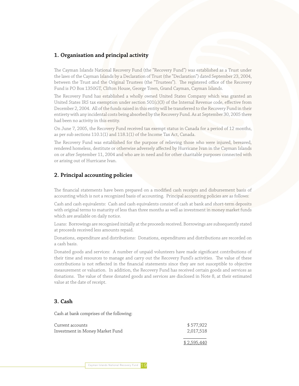### **1. Organisation and principal activity**

The Cayman Islands National Recovery Fund (the "Recovery Fund") was established as a Trust under the laws of the Cayman Islands by a Declaration of Trust (the "Declaration") dated September 23, 2004, between the Trust and the Original Trustees (the "Trustees"). The registered office of the Recovery Fund is PO Box 1350GT, Clifton House, George Town, Grand Cayman, Cayman Islands.

The Recovery Fund has established a wholly owned United States Company which was granted an United States IRS tax exemption under section 501(c)(3) of the Internal Revenue code, effective from December 2, 2004. All of the funds raised in this entity will be transferred to the Recovery Fund in their entirety with any incidental costs being absorbed by the Recovery Fund. As at September 30, 2005 there had been no activity in this entity.

On June 7, 2005, the Recovery Fund received tax exempt status in Canada for a period of 12 months, as per sub sections 110.1(1) and 118.1(1) of the Income Tax Act, Canada.

The Recovery Fund was established for the purpose of relieving those who were injured, bereaved, rendered homeless, destitute or otherwise adversely affected by Hurricane Ivan in the Cayman Islands on or after September 11, 2004 and who are in need and for other charitable purposes connected with or arising out of Hurricane Ivan.

#### **2. Principal accounting policies**

The financial statements have been prepared on a modified cash receipts and disbursement basis of accounting which is not a recognized basis of accounting. Principal accounting policies are as follows:

Cash and cash equivalents: Cash and cash equivalents consist of cash at bank and short-term deposits with original terms to maturity of less than three months as well as investment in money market funds which are available on daily notice.

Loans: Borrowings are recognised initially at the proceeds received. Borrowings are subsequently stated at proceeds received less amounts repaid.

Donations, expenditure and distributions: Donations, expenditures and distributions are recorded on a cash basis.

Donated goods and services: A number of unpaid volunteers have made significant contributions of their time and resources to manage and carry out the Recovery Fund's activities. The value of these contributions is not reflected in the financial statements since they are not susceptible to objective measurement or valuation. In addition, the Recovery Fund has received certain goods and services as donations. The value of these donated goods and services are disclosed in Note 8, at their estimated value at the date of receipt.

#### **3. Cash**

Cash at bank comprises of the following:

| Current accounts                | \$577,922   |
|---------------------------------|-------------|
| Investment in Money Market Fund | 2,017,518   |
|                                 | \$2,595,440 |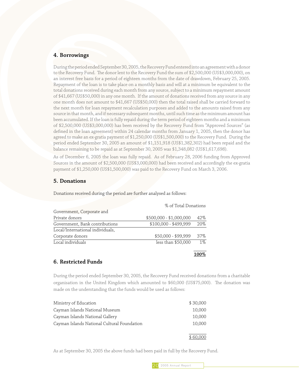### **4. Borrowings**

During the period ended September 30, 2005, the Recovery Fund entered into an agreement with a donor to the Recovery Fund. The donor lent to the Recovery Fund the sum of \$2,500,000 (US\$3,000,000), on an interest free basis for a period of eighteen months from the date of drawdown, February 25, 2005. Repayment of the loan is to take place on a monthly basis and will at a minimum be equivalent to the total donations received during each month from any source, subject to a minimum repayment amount of \$41,667 (US\$50,000) in any one month. If the amount of donations received from any source in any one month does not amount to \$41,667 (US\$50,000) then the total raised shall be carried forward to the next month for loan repayment recalculation purposes and added to the amounts raised from any source in that month, and if necessary subsequent months, until such time as the minimum amount has been accumulated. If the loan is fully repaid during the term period of eighteen months and a minimum of \$2,500,000 (US\$3,000,000) has been received by the Recovery Fund from "Approved Sources" (as defined in the loan agreement) within 24 calendar months from January 1, 2005, then the donor has agreed to make an ex-gratia payment of \$1,250,000 (US\$1,500,000) to the Recovery Fund. During the period ended September 30, 2005 an amount of \$1,151,918 (US\$1,382,302) had been repaid and the balance remaining to be repaid as at September 30, 2005 was \$1,348,082 (US\$1,617,698).

As of December 6, 2005 the loan was fully repaid. As of February 28, 2006 funding from Approved Sources in the amount of \$2,500,000 (US\$3,000,000) had been received and accordingly the ex-gratia payment of \$1,250,000 (US\$1,500,000) was paid to the Recovery Fund on March 3, 2006.

### **5. Donations**

Donations received during the period are further analysed as follows:

|                                  | % of Total Donations    |       |
|----------------------------------|-------------------------|-------|
| Government, Corporate and        |                         |       |
| Private donors                   | \$500,000 - \$1,000,000 | 42%   |
| Government, Bank contributions   | \$100,000 - \$499,999   | 20%   |
| Local/International individuals, |                         |       |
| Corporate donors                 | \$50,000 - \$99,999     | 37%   |
| Local individuals                | less than \$50,000      | $1\%$ |
|                                  |                         |       |

**100%**

### **6. Restricted Funds**

During the period ended September 30, 2005, the Recovery Fund received donations from a charitable organisation in the United Kingdom which amounted to \$60,000 (US\$75,000). The donation was made on the understanding that the funds would be used as follows:

| Ministry of Education                       | \$30,000 |
|---------------------------------------------|----------|
| Cayman Islands National Museum              | 10,000   |
| Cayman Islands National Gallery             | 10,000   |
| Cayman Islands National Cultural Foundation | 10,000   |
|                                             |          |
|                                             | \$60,000 |

As at September 30, 2005 the above funds had been paid in full by the Recovery Fund.

20 2005 Annual Report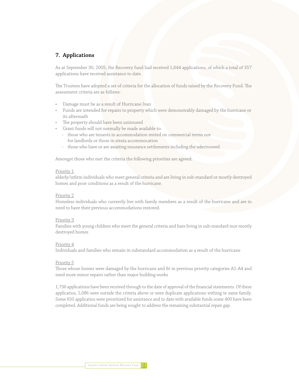### **7. Applications**

As at September 30, 2005, the Recovery fund had received 1,644 applications, of which a total of 357 applications have received assistance to date.

The Trustees have adopted a set of criteria for the allocation of funds raised by the Recovery Fund. The assessment criteria are as follows:

- Damage must be as a result of Hurricane Ivan
- Funds are intended for repairs to property which were demonstrably damaged by the hurricane or its aftermath
- The property should have been uninsured
- Grant funds will not normally be made available to:
	- those who are tenants in accommodation rented on commercial terms nor for landlords or those in strata accommocation
	- those who have or are awaiting insurance settlements including the uderinsured

Amongst those who met the criteria the following priorities are agreed:

#### Priority 1

elderly/infirm individuals who meet general criteria and are living in sub-standard or mostly destroyed homes and poor conditions as a result of the hurricane.

#### Priority 2

Homeless individuals who currently live with family members as a result of the hurricane and are in need to have their previous accommodations restored.

#### Priority 3

Families with young children who meet the general criteria and hare living in sub-standard mor mostly destroyed homes

#### Priority 4

Individuals and families who remain in substandard accommodation as a result of the hurricane

#### Priority 5

Those whose homes were damaged by the hurricane and fit in previous priority categories A1-A4 and need more minor repairs rather than major building works

1,736 applications have been received through to the date of approval of the financial statements. Of these applicatios, 1,086 were outside the criteria above or were duplicate applications withing te same family. Some 650 applicatios were prioritised for assistance and to date with available funds some 400 have been completed. Additional funds are being sought to address the remaining substantial repair gap.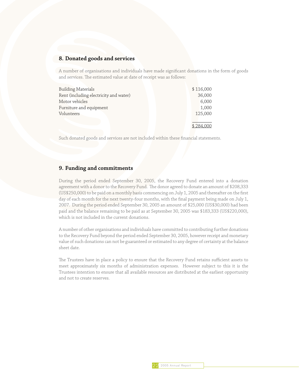#### **8. Donated goods and services**

A number of organisations and individuals have made significant donations in the form of goods and services. The estimated value at date of receipt was as follows:

| <b>Building Materials</b>              | \$116,000 |
|----------------------------------------|-----------|
| Rent (including electricity and water) | 36,000    |
| Motor vehicles                         | 6,000     |
| Furniture and equipment                | 1,000     |
| Volunteers                             | 125,000   |
|                                        |           |
|                                        | \$284,000 |

Such donated goods and services are not included within these financial statements.

#### **9. Funding and commitments**

During the period ended September 30, 2005, the Recovery Fund entered into a donation agreement with a donor to the Recovery Fund. The donor agreed to donate an amount of \$208,333 (US\$250,000) to be paid on a monthly basis commencing on July 1, 2005 and thereafter on the first day of each month for the next twenty-four months, with the final payment being made on July 1, 2007. During the period ended September 30, 2005 an amount of \$25,000 (US\$30,000) had been paid and the balance remaining to be paid as at September 30, 2005 was \$183,333 (US\$220,000), which is not included in the current donations.

A number of other organisations and individuals have committed to contributing further donations to the Recovery Fund beyond the period ended September 30, 2005, however receipt and monetary value of such donations can not be guaranteed or estimated to any degree of certainty at the balance sheet date.

The Trustees have in place a policy to ensure that the Recovery Fund retains sufficient assets to meet approximately six months of administration expenses. However subject to this it is the Trustees intention to ensure that all available resources are distributed at the earliest opportunity and not to create reserves.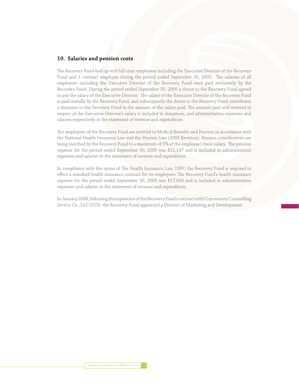#### **10. Salaries and pension costs**

The Recovery Fund had up to 8 full-time employees including the Executive Director of the Recovery Fund and 1 contract employee during the period ended September 30, 2005. The salaries of all employees excluding the Executive Director of the Recovery Fund were paid exclusively by the Recovery Fund. During the period ended September 30, 2005 a donor to the Recovery Fund agreed to pay the salary of the Executive Director. The salary of the Executive Director of the Recovery Fund is paid initially by the Recovery Fund, and subsequently the donor to the Recovery Fund contributes a donation to the Recovery Fund in the amount of the salary paid. The amount paid and received in respect of the Executive Director's salary is included in donations, and administration expenses and salaries respectively in the statement of revenue and expenditure.

The employees of the Recovery Fund are entitled to Medical Benefits and Pension in accordance with the National Health Insurance Law and the Pension Law (2003 Revision). Pension contributions are being matched by the Recovery Fund to a maximum of 5% of the employee's basic salary. The pension expense for the period ended September 30, 2005 was \$11,147 and is included in administration expenses and salaries in the statement of revenue and expenditure.

In compliance with the terms of The Health Insurance Law, 1997, the Recovery Fund is required to effect a standard health insurance contract for its employees. The Recovery Fund's health insurance expense for the period ended September 30, 2005 was \$17,643 and is included in administration expenses and salaries in the statement of revenue and expenditure.

In January 2006, following the expiration of the Recovery Fund's contract with Community Counselling Service Co., LLC (CCS), the Recovery Fund appointed a Director of Marketing and Development.